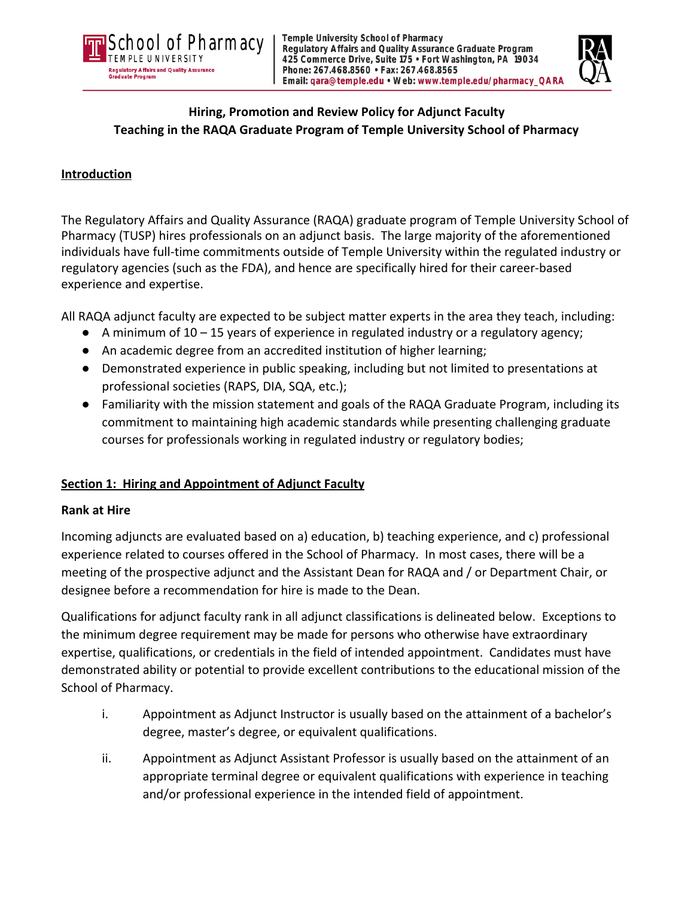



# **Hiring, Promotion and Review Policy for Adjunct Faculty Teaching in the RAQA Graduate Program of Temple University School of Pharmacy**

#### **Introduction**

The Regulatory Affairs and Quality Assurance (RAQA) graduate program of Temple University School of Pharmacy (TUSP) hires professionals on an adjunct basis. The large majority of the aforementioned individuals have full-time commitments outside of Temple University within the regulated industry or regulatory agencies (such as the FDA), and hence are specifically hired for their career-based experience and expertise.

All RAQA adjunct faculty are expected to be subject matter experts in the area they teach, including:

- $\bullet$  A minimum of 10 15 years of experience in regulated industry or a regulatory agency;
- An academic degree from an accredited institution of higher learning;
- Demonstrated experience in public speaking, including but not limited to presentations at professional societies (RAPS, DIA, SQA, etc.);
- Familiarity with the mission statement and goals of the RAQA Graduate Program, including its commitment to maintaining high academic standards while presenting challenging graduate courses for professionals working in regulated industry or regulatory bodies;

## **Section 1: Hiring and Appointment of Adjunct Faculty**

#### **Rank at Hire**

Incoming adjuncts are evaluated based on a) education, b) teaching experience, and c) professional experience related to courses offered in the School of Pharmacy. In most cases, there will be a meeting of the prospective adjunct and the Assistant Dean for RAQA and / or Department Chair, or designee before a recommendation for hire is made to the Dean.

Qualifications for adjunct faculty rank in all adjunct classifications is delineated below. Exceptions to the minimum degree requirement may be made for persons who otherwise have extraordinary expertise, qualifications, or credentials in the field of intended appointment. Candidates must have demonstrated ability or potential to provide excellent contributions to the educational mission of the School of Pharmacy.

- i. Appointment as Adjunct Instructor is usually based on the attainment of a bachelor's degree, master's degree, or equivalent qualifications.
- ii. Appointment as Adjunct Assistant Professor is usually based on the attainment of an appropriate terminal degree or equivalent qualifications with experience in teaching and/or professional experience in the intended field of appointment.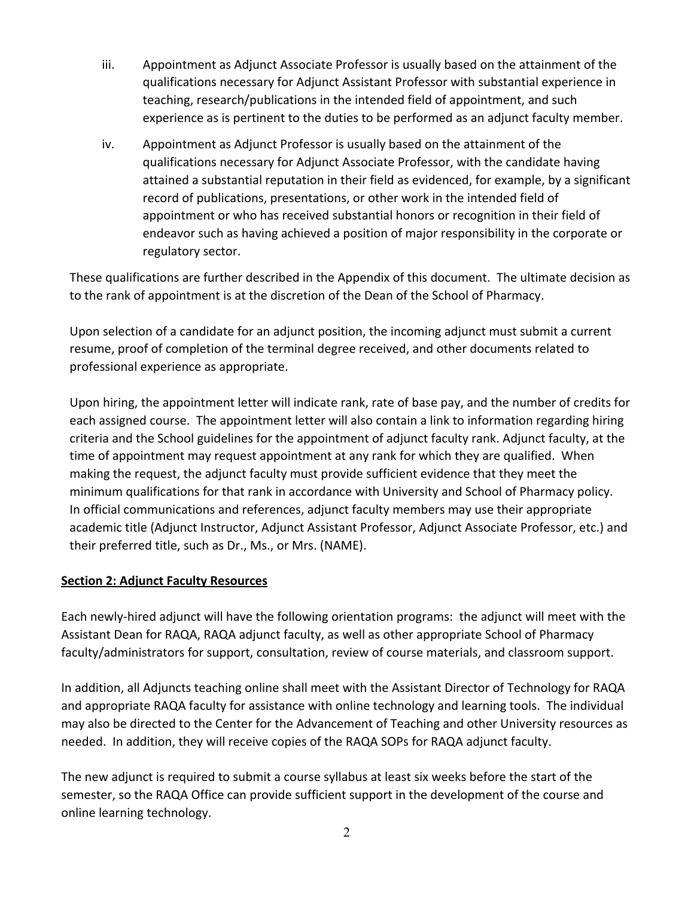- iii. Appointment as Adjunct Associate Professor is usually based on the attainment of the qualifications necessary for Adjunct Assistant Professor with substantial experience in teaching, research/publications in the intended field of appointment, and such experience as is pertinent to the duties to be performed as an adjunct faculty member.
- iv. Appointment as Adjunct Professor is usually based on the attainment of the qualifications necessary for Adjunct Associate Professor, with the candidate having attained a substantial reputation in their field as evidenced, for example, by a significant record of publications, presentations, or other work in the intended field of appointment or who has received substantial honors or recognition in their field of endeavor such as having achieved a position of major responsibility in the corporate or regulatory sector.

These qualifications are further described in the Appendix of this document. The ultimate decision as to the rank of appointment is at the discretion of the Dean of the School of Pharmacy.

Upon selection of a candidate for an adjunct position, the incoming adjunct must submit a current resume, proof of completion of the terminal degree received, and other documents related to professional experience as appropriate.

Upon hiring, the appointment letter will indicate rank, rate of base pay, and the number of credits for each assigned course. The appointment letter will also contain a link to information regarding hiring criteria and the School guidelines for the appointment of adjunct faculty rank. Adjunct faculty, at the time of appointment may request appointment at any rank for which they are qualified. When making the request, the adjunct faculty must provide sufficient evidence that they meet the minimum qualifications for that rank in accordance with University and School of Pharmacy policy. In official communications and references, adjunct faculty members may use their appropriate academic title (Adjunct Instructor, Adjunct Assistant Professor, Adjunct Associate Professor, etc.) and their preferred title, such as Dr., Ms., or Mrs. (NAME).

#### **Section 2: Adjunct Faculty Resources**

Each newly-hired adjunct will have the following orientation programs: the adjunct will meet with the Assistant Dean for RAQA, RAQA adjunct faculty, as well as other appropriate School of Pharmacy faculty/administrators for support, consultation, review of course materials, and classroom support.

In addition, all Adjuncts teaching online shall meet with the Assistant Director of Technology for RAQA and appropriate RAQA faculty for assistance with online technology and learning tools. The individual may also be directed to the Center for the Advancement of Teaching and other University resources as needed. In addition, they will receive copies of the RAQA SOPs for RAQA adjunct faculty.

The new adjunct is required to submit a course syllabus at least six weeks before the start of the semester, so the RAQA Office can provide sufficient support in the development of the course and online learning technology.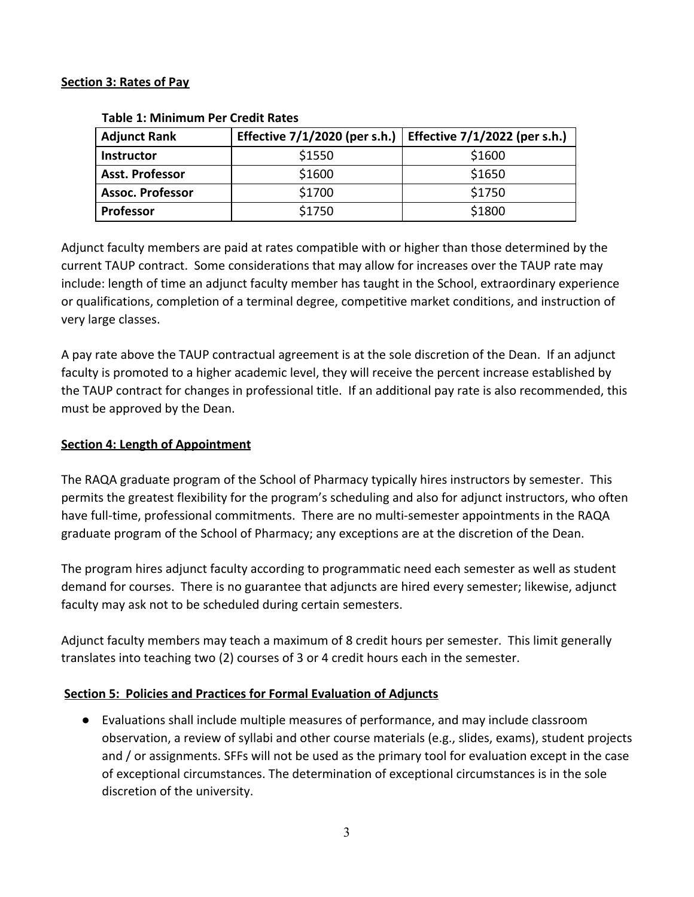#### **Section 3: Rates of Pay**

| <b>Adjunct Rank</b>     | Effective $7/1/2020$ (per s.h.) | Effective 7/1/2022 (per s.h.) |
|-------------------------|---------------------------------|-------------------------------|
| <b>Instructor</b>       | \$1550                          | \$1600                        |
| <b>Asst. Professor</b>  | \$1600                          | \$1650                        |
| <b>Assoc. Professor</b> | \$1700                          | \$1750                        |
| <b>Professor</b>        | \$1750                          | \$1800                        |

#### **Table 1: Minimum Per Credit Rates**

Adjunct faculty members are paid at rates compatible with or higher than those determined by the current TAUP contract. Some considerations that may allow for increases over the TAUP rate may include: length of time an adjunct faculty member has taught in the School, extraordinary experience or qualifications, completion of a terminal degree, competitive market conditions, and instruction of very large classes.

A pay rate above the TAUP contractual agreement is at the sole discretion of the Dean. If an adjunct faculty is promoted to a higher academic level, they will receive the percent increase established by the TAUP contract for changes in professional title. If an additional pay rate is also recommended, this must be approved by the Dean.

#### **Section 4: Length of Appointment**

The RAQA graduate program of the School of Pharmacy typically hires instructors by semester. This permits the greatest flexibility for the program's scheduling and also for adjunct instructors, who often have full-time, professional commitments. There are no multi-semester appointments in the RAQA graduate program of the School of Pharmacy; any exceptions are at the discretion of the Dean.

The program hires adjunct faculty according to programmatic need each semester as well as student demand for courses. There is no guarantee that adjuncts are hired every semester; likewise, adjunct faculty may ask not to be scheduled during certain semesters.

Adjunct faculty members may teach a maximum of 8 credit hours per semester. This limit generally translates into teaching two (2) courses of 3 or 4 credit hours each in the semester.

#### **Section 5: Policies and Practices for Formal Evaluation of Adjuncts**

● Evaluations shall include multiple measures of performance, and may include classroom observation, a review of syllabi and other course materials (e.g., slides, exams), student projects and / or assignments. SFFs will not be used as the primary tool for evaluation except in the case of exceptional circumstances. The determination of exceptional circumstances is in the sole discretion of the university.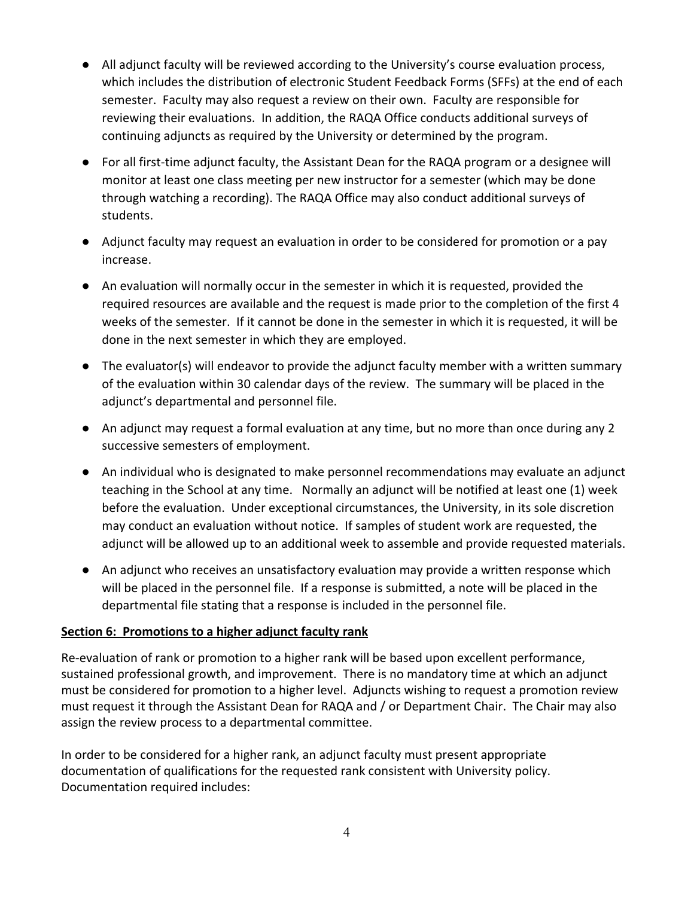- All adjunct faculty will be reviewed according to the University's course evaluation process, which includes the distribution of electronic Student Feedback Forms (SFFs) at the end of each semester. Faculty may also request a review on their own. Faculty are responsible for reviewing their evaluations. In addition, the RAQA Office conducts additional surveys of continuing adjuncts as required by the University or determined by the program.
- For all first-time adjunct faculty, the Assistant Dean for the RAQA program or a designee will monitor at least one class meeting per new instructor for a semester (which may be done through watching a recording). The RAQA Office may also conduct additional surveys of students.
- Adjunct faculty may request an evaluation in order to be considered for promotion or a pay increase.
- An evaluation will normally occur in the semester in which it is requested, provided the required resources are available and the request is made prior to the completion of the first 4 weeks of the semester. If it cannot be done in the semester in which it is requested, it will be done in the next semester in which they are employed.
- The evaluator(s) will endeavor to provide the adjunct faculty member with a written summary of the evaluation within 30 calendar days of the review. The summary will be placed in the adjunct's departmental and personnel file.
- An adjunct may request a formal evaluation at any time, but no more than once during any 2 successive semesters of employment.
- An individual who is designated to make personnel recommendations may evaluate an adjunct teaching in the School at any time. Normally an adjunct will be notified at least one (1) week before the evaluation. Under exceptional circumstances, the University, in its sole discretion may conduct an evaluation without notice. If samples of student work are requested, the adjunct will be allowed up to an additional week to assemble and provide requested materials.
- An adjunct who receives an unsatisfactory evaluation may provide a written response which will be placed in the personnel file. If a response is submitted, a note will be placed in the departmental file stating that a response is included in the personnel file.

#### **Section 6: Promotions to a higher adjunct faculty rank**

Re-evaluation of rank or promotion to a higher rank will be based upon excellent performance, sustained professional growth, and improvement. There is no mandatory time at which an adjunct must be considered for promotion to a higher level. Adjuncts wishing to request a promotion review must request it through the Assistant Dean for RAQA and / or Department Chair. The Chair may also assign the review process to a departmental committee.

In order to be considered for a higher rank, an adjunct faculty must present appropriate documentation of qualifications for the requested rank consistent with University policy. Documentation required includes: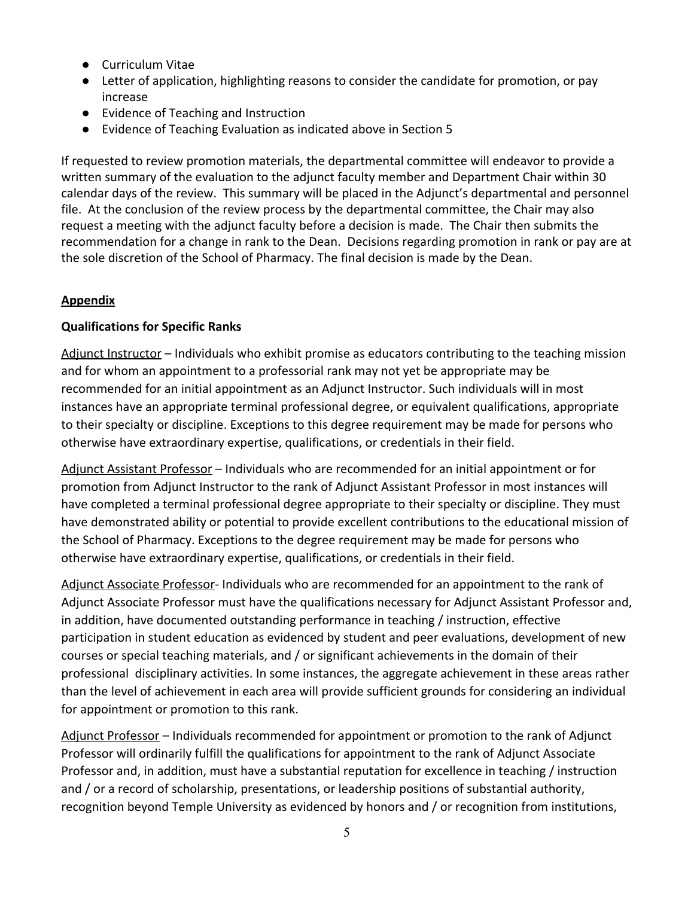- Curriculum Vitae
- Letter of application, highlighting reasons to consider the candidate for promotion, or pay increase
- Evidence of Teaching and Instruction
- Evidence of Teaching Evaluation as indicated above in Section 5

If requested to review promotion materials, the departmental committee will endeavor to provide a written summary of the evaluation to the adjunct faculty member and Department Chair within 30 calendar days of the review. This summary will be placed in the Adjunct's departmental and personnel file. At the conclusion of the review process by the departmental committee, the Chair may also request a meeting with the adjunct faculty before a decision is made. The Chair then submits the recommendation for a change in rank to the Dean. Decisions regarding promotion in rank or pay are at the sole discretion of the School of Pharmacy. The final decision is made by the Dean.

#### **Appendix**

### **Qualifications for Specific Ranks**

Adjunct Instructor – Individuals who exhibit promise as educators contributing to the teaching mission and for whom an appointment to a professorial rank may not yet be appropriate may be recommended for an initial appointment as an Adjunct Instructor. Such individuals will in most instances have an appropriate terminal professional degree, or equivalent qualifications, appropriate to their specialty or discipline. Exceptions to this degree requirement may be made for persons who otherwise have extraordinary expertise, qualifications, or credentials in their field.

Adjunct Assistant Professor – Individuals who are recommended for an initial appointment or for promotion from Adjunct Instructor to the rank of Adjunct Assistant Professor in most instances will have completed a terminal professional degree appropriate to their specialty or discipline. They must have demonstrated ability or potential to provide excellent contributions to the educational mission of the School of Pharmacy. Exceptions to the degree requirement may be made for persons who otherwise have extraordinary expertise, qualifications, or credentials in their field.

Adjunct Associate Professor- Individuals who are recommended for an appointment to the rank of Adjunct Associate Professor must have the qualifications necessary for Adjunct Assistant Professor and, in addition, have documented outstanding performance in teaching / instruction, effective participation in student education as evidenced by student and peer evaluations, development of new courses or special teaching materials, and / or significant achievements in the domain of their professional disciplinary activities. In some instances, the aggregate achievement in these areas rather than the level of achievement in each area will provide sufficient grounds for considering an individual for appointment or promotion to this rank.

Adjunct Professor – Individuals recommended for appointment or promotion to the rank of Adjunct Professor will ordinarily fulfill the qualifications for appointment to the rank of Adjunct Associate Professor and, in addition, must have a substantial reputation for excellence in teaching / instruction and / or a record of scholarship, presentations, or leadership positions of substantial authority, recognition beyond Temple University as evidenced by honors and / or recognition from institutions,